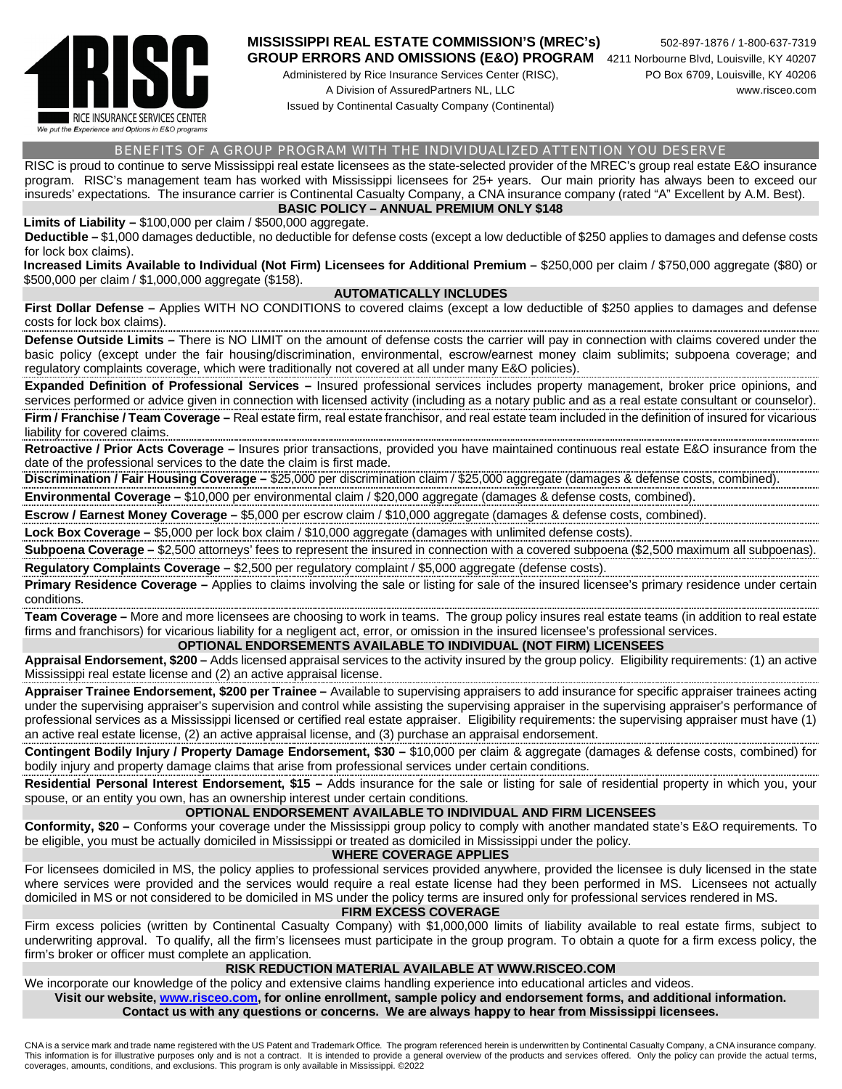

# **MISSISSIPPI REAL ESTATE COMMISSION'S (MREC's)** 502-897-1876 / 1-800-637-7319

Administered by Rice Insurance Services Center (RISC), PO Box 6709, Louisville, KY 40206

Issued by Continental Casualty Company (Continental)

#### BENEFITS OF A GROUP PROGRAM WITH THE INDIVIDUALIZED ATTENTION YOU DESERVE

RISC is proud to continue to serve Mississippi real estate licensees as the state-selected provider of the MREC's group real estate E&O insurance program. RISC's management team has worked with Mississippi licensees for 25+ years. Our main priority has always been to exceed our insureds' expectations. The insurance carrier is Continental Casualty Company, a CNA insurance company (rated "A" Excellent by A.M. Best). **BASIC POLICY – ANNUAL PREMIUM ONLY \$148**

**Limits of Liability –** \$100,000 per claim / \$500,000 aggregate.

**Deductible –** \$1,000 damages deductible, no deductible for defense costs (except a low deductible of \$250 applies to damages and defense costs for lock box claims).

**Increased Limits Available to Individual (Not Firm) Licensees for Additional Premium –** \$250,000 per claim / \$750,000 aggregate (\$80) or \$500,000 per claim / \$1,000,000 aggregate (\$158).

#### **AUTOMATICALLY INCLUDES**

**First Dollar Defense –** Applies WITH NO CONDITIONS to covered claims (except a low deductible of \$250 applies to damages and defense costs for lock box claims). 

**Defense Outside Limits –** There is NO LIMIT on the amount of defense costs the carrier will pay in connection with claims covered under the basic policy (except under the fair housing/discrimination, environmental, escrow/earnest money claim sublimits; subpoena coverage; and regulatory complaints coverage, which were traditionally not covered at all under many E&O policies).

**Expanded Definition of Professional Services –** Insured professional services includes property management, broker price opinions, and services performed or advice given in connection with licensed activity (including as a notary public and as a real estate consultant or counselor). **Firm / Franchise / Team Coverage –** Real estate firm, real estate franchisor, and real estate team included in the definition of insured for vicarious liability for covered claims.

**Retroactive / Prior Acts Coverage –** Insures prior transactions, provided you have maintained continuous real estate E&O insurance from the date of the professional services to the date the claim is first made.

**Discrimination / Fair Housing Coverage –** \$25,000 per discrimination claim / \$25,000 aggregate (damages & defense costs, combined).

**Environmental Coverage –** \$10,000 per environmental claim / \$20,000 aggregate (damages & defense costs, combined). **Escrow / Earnest Money Coverage –** \$5,000 per escrow claim / \$10,000 aggregate (damages & defense costs, combined).

**Lock Box Coverage –** \$5,000 per lock box claim / \$10,000 aggregate (damages with unlimited defense costs).

**Subpoena Coverage –** \$2,500 attorneys' fees to represent the insured in connection with a covered subpoena (\$2,500 maximum all subpoenas). **Regulatory Complaints Coverage –** \$2,500 per regulatory complaint / \$5,000 aggregate (defense costs).

Primary Residence Coverage - Applies to claims involving the sale or listing for sale of the insured licensee's primary residence under certain conditions.

**Team Coverage –** More and more licensees are choosing to work in teams. The group policy insures real estate teams (in addition to real estate firms and franchisors) for vicarious liability for a negligent act, error, or omission in the insured licensee's professional services.

## **OPTIONAL ENDORSEMENTS AVAILABLE TO INDIVIDUAL (NOT FIRM) LICENSEES**

**Appraisal Endorsement, \$200 –** Adds licensed appraisal services to the activity insured by the group policy. Eligibility requirements: (1) an active Mississippi real estate license and (2) an active appraisal license. 

**Appraiser Trainee Endorsement, \$200 per Trainee –** Available to supervising appraisers to add insurance for specific appraiser trainees acting under the supervising appraiser's supervision and control while assisting the supervising appraiser in the supervising appraiser's performance of professional services as a Mississippi licensed or certified real estate appraiser. Eligibility requirements: the supervising appraiser must have (1) an active real estate license, (2) an active appraisal license, and (3) purchase an appraisal endorsement.

**Contingent Bodily Injury / Property Damage Endorsement, \$30 –** \$10,000 per claim & aggregate (damages & defense costs, combined) for bodily injury and property damage claims that arise from professional services under certain conditions.

**Residential Personal Interest Endorsement, \$15 –** Adds insurance for the sale or listing for sale of residential property in which you, your spouse, or an entity you own, has an ownership interest under certain conditions.

## **OPTIONAL ENDORSEMENT AVAILABLE TO INDIVIDUAL AND FIRM LICENSEES**

**Conformity, \$20 –** Conforms your coverage under the Mississippi group policy to comply with another mandated state's E&O requirements. To be eligible, you must be actually domiciled in Mississippi or treated as domiciled in Mississippi under the policy.

# **WHERE COVERAGE APPLIES**

For licensees domiciled in MS, the policy applies to professional services provided anywhere, provided the licensee is duly licensed in the state where services were provided and the services would require a real estate license had they been performed in MS. Licensees not actually domiciled in MS or not considered to be domiciled in MS under the policy terms are insured only for professional services rendered in MS. **FIRM EXCESS COVERAGE**

Firm excess policies (written by Continental Casualty Company) with \$1,000,000 limits of liability available to real estate firms, subject to underwriting approval. To qualify, all the firm's licensees must participate in the group program. To obtain a quote for a firm excess policy, the firm's broker or officer must complete an application.

# **RISK REDUCTION MATERIAL AVAILABLE AT WWW.RISCEO.COM**

We incorporate our knowledge of the policy and extensive claims handling experience into educational articles and videos.

**Visit our website, www.risceo.com, for online enrollment, sample policy and endorsement forms, and additional information. Contact us with any questions or concerns. We are always happy to hear from Mississippi licensees.**

CNA is a service mark and trade name registered with the US Patent and Trademark Office. The program referenced herein is underwritten by Continental Casualty Company, a CNA insurance company. This information is for illustrative purposes only and is not a contract. It is intended to provide a general overview of the products and services offered. Only the policy can provide the actual terms, coverages, amounts, conditions, and exclusions. This program is only available in Mississippi. ©2022